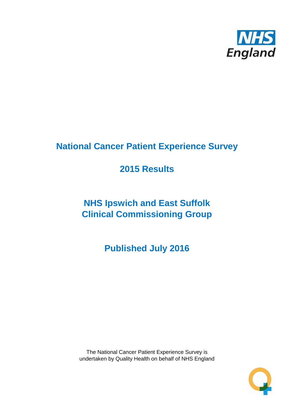

# **National Cancer Patient Experience Survey**

# **2015 Results**

# **NHS Ipswich and East Suffolk Clinical Commissioning Group**

**Published July 2016**

The National Cancer Patient Experience Survey is undertaken by Quality Health on behalf of NHS England

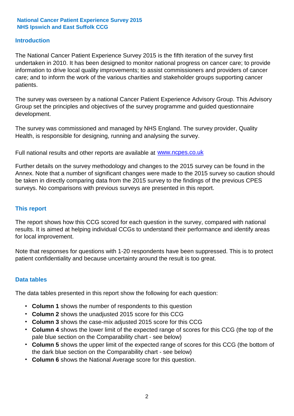### **Introduction**

The National Cancer Patient Experience Survey 2015 is the fifth iteration of the survey first undertaken in 2010. It has been designed to monitor national progress on cancer care; to provide information to drive local quality improvements; to assist commissioners and providers of cancer care; and to inform the work of the various charities and stakeholder groups supporting cancer patients.

The survey was overseen by a national Cancer Patient Experience Advisory Group. This Advisory Group set the principles and objectives of the survey programme and guided questionnaire development.

The survey was commissioned and managed by NHS England. The survey provider, Quality Health, is responsible for designing, running and analysing the survey.

Full national results and other reports are available at www.ncpes.co.uk

Further details on the survey methodology and changes to the 2015 survey can be found in the Annex. Note that a number of significant changes were made to the 2015 survey so caution should be taken in directly comparing data from the 2015 survey to the findings of the previous CPES surveys. No comparisons with previous surveys are presented in this report.

#### **This report**

The report shows how this CCG scored for each question in the survey, compared with national results. It is aimed at helping individual CCGs to understand their performance and identify areas for local improvement.

Note that responses for questions with 1-20 respondents have been suppressed. This is to protect patient confidentiality and because uncertainty around the result is too great.

#### **Data tables**

The data tables presented in this report show the following for each question:

- **Column 1** shows the number of respondents to this question
- **Column 2** shows the unadjusted 2015 score for this CCG
- **Column 3** shows the case-mix adjusted 2015 score for this CCG
- **Column 4** shows the lower limit of the expected range of scores for this CCG (the top of the pale blue section on the Comparability chart - see below)
- **Column 5** shows the upper limit of the expected range of scores for this CCG (the bottom of the dark blue section on the Comparability chart - see below)
- **Column 6** shows the National Average score for this question.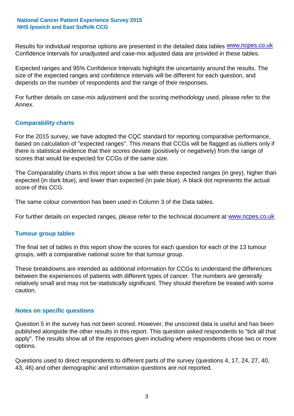Results for individual response options are presented in the detailed data tables **WWW.ncpes.co.uk** Confidence Intervals for unadjusted and case-mix adjusted data are provided in these tables.

Expected ranges and 95% Confidence Intervals highlight the uncertainty around the results. The size of the expected ranges and confidence intervals will be different for each question, and depends on the number of respondents and the range of their responses.

For further details on case-mix adjustment and the scoring methodology used, please refer to the Annex.

### **Comparability charts**

For the 2015 survey, we have adopted the CQC standard for reporting comparative performance, based on calculation of "expected ranges". This means that CCGs will be flagged as outliers only if there is statistical evidence that their scores deviate (positively or negatively) from the range of scores that would be expected for CCGs of the same size.

The Comparability charts in this report show a bar with these expected ranges (in grey), higher than expected (in dark blue), and lower than expected (in pale blue). A black dot represents the actual score of this CCG.

The same colour convention has been used in Column 3 of the Data tables.

For further details on expected ranges, please refer to the technical document at **www.ncpes.co.uk** 

#### **Tumour group tables**

The final set of tables in this report show the scores for each question for each of the 13 tumour groups, with a comparative national score for that tumour group.

These breakdowns are intended as additional information for CCGs to understand the differences between the experiences of patients with different types of cancer. The numbers are generally relatively small and may not be statistically significant. They should therefore be treated with some caution.

#### **Notes on specific questions**

Question 5 in the survey has not been scored. However, the unscored data is useful and has been published alongside the other results in this report. This question asked respondents to "tick all that apply". The results show all of the responses given including where respondents chose two or more options.

Questions used to direct respondents to different parts of the survey (questions 4, 17, 24, 27, 40, 43, 46) and other demographic and information questions are not reported.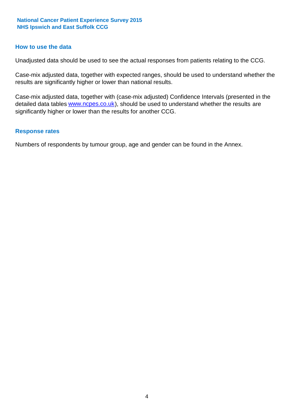#### **How to use the data**

Unadjusted data should be used to see the actual responses from patients relating to the CCG.

Case-mix adjusted data, together with expected ranges, should be used to understand whether the results are significantly higher or lower than national results.

Case-mix adjusted data, together with (case-mix adjusted) Confidence Intervals (presented in the detailed data tables **www.ncpes.co.uk**), should be used to understand whether the results are significantly higher or lower than the results for another CCG.

#### **Response rates**

Numbers of respondents by tumour group, age and gender can be found in the Annex.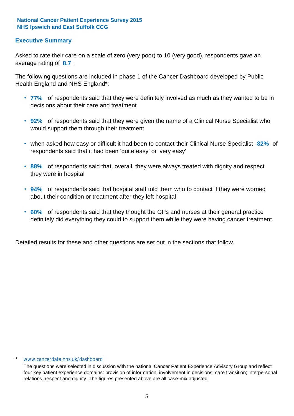### **Executive Summary**

average rating of 8.7. Asked to rate their care on a scale of zero (very poor) to 10 (very good), respondents gave an

The following questions are included in phase 1 of the Cancer Dashboard developed by Public Health England and NHS England\*:

- **77%** of respondents said that they were definitely involved as much as they wanted to be in decisions about their care and treatment
- **92%** of respondents said that they were given the name of a Clinical Nurse Specialist who would support them through their treatment
- when asked how easy or difficult it had been to contact their Clinical Nurse Specialist 82% of respondents said that it had been 'quite easy' or 'very easy'
- **88%** of respondents said that, overall, they were always treated with dignity and respect they were in hospital
- **94%** of respondents said that hospital staff told them who to contact if they were worried about their condition or treatment after they left hospital
- **60%** of respondents said that they thought the GPs and nurses at their general practice definitely did everything they could to support them while they were having cancer treatment.

Detailed results for these and other questions are set out in the sections that follow.

#### \* www.cancerdata.nhs.uk/dashboard

The questions were selected in discussion with the national Cancer Patient Experience Advisory Group and reflect four key patient experience domains: provision of information; involvement in decisions; care transition; interpersonal relations, respect and dignity. The figures presented above are all case-mix adjusted.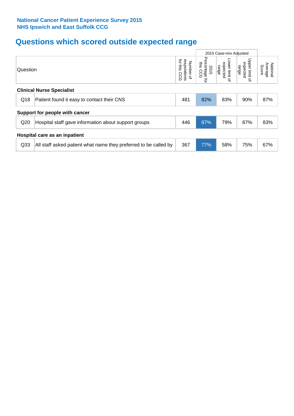# **Questions which scored outside expected range**

|                               |                                                                  |                                            | 2015 Case-mix Adjusted                 |                                              |                                              |                              |
|-------------------------------|------------------------------------------------------------------|--------------------------------------------|----------------------------------------|----------------------------------------------|----------------------------------------------|------------------------------|
| Question                      |                                                                  | for this<br>respondents<br>Number of<br>ဥင | Percentage<br>this<br>2015<br>CCG<br>ą | Lower limit<br>expected<br>range<br>$\Omega$ | Upper limit<br>expected<br>range<br>$\Omega$ | Average<br>National<br>Score |
|                               | <b>Clinical Nurse Specialist</b>                                 |                                            |                                        |                                              |                                              |                              |
| Q18                           | Patient found it easy to contact their CNS                       | 481                                        | 82%                                    | 83%                                          | 90%                                          | 87%                          |
|                               | Support for people with cancer                                   |                                            |                                        |                                              |                                              |                              |
| Q20                           | Hospital staff gave information about support groups             | 446                                        | 87%                                    | 79%                                          | 87%                                          | 83%                          |
| Hospital care as an inpatient |                                                                  |                                            |                                        |                                              |                                              |                              |
| Q <sub>33</sub>               | All staff asked patient what name they preferred to be called by | 367                                        | 77%                                    | 58%                                          | 75%                                          | 67%                          |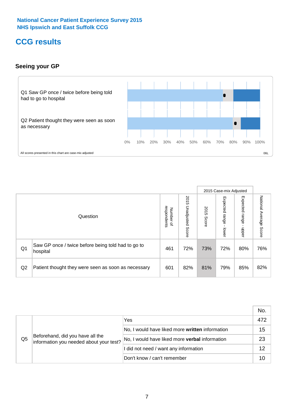# **CCG results**

### **Seeing your GP**



|    |                                                                |                                         |                             |               | 2015 Case-mix Adjusted     |                            |                           |
|----|----------------------------------------------------------------|-----------------------------------------|-----------------------------|---------------|----------------------------|----------------------------|---------------------------|
|    | Question                                                       | respondents<br>Number<br>$\overline{a}$ | 2015<br>Unadjusted<br>Score | 2015<br>Score | Expected<br>range<br>lower | Expected<br>range<br>dpper | National Average<br>Score |
| Q1 | Saw GP once / twice before being told had to go to<br>hospital | 461                                     | 72%                         | 73%           | 72%                        | 80%                        | 76%                       |
| Q2 | Patient thought they were seen as soon as necessary            | 601                                     | 82%                         | 81%           | 79%                        | 85%                        | 82%                       |

|                |                                                                             |                                                       | No. |
|----------------|-----------------------------------------------------------------------------|-------------------------------------------------------|-----|
| Q <sub>5</sub> | Beforehand, did you have all the<br>information you needed about your test? | Yes                                                   | 472 |
|                |                                                                             | No, I would have liked more written information       | 15  |
|                |                                                                             | No, I would have liked more <b>verbal</b> information | 23  |
|                |                                                                             | I did not need / want any information                 | 12  |
|                |                                                                             | Don't know / can't remember                           | 10  |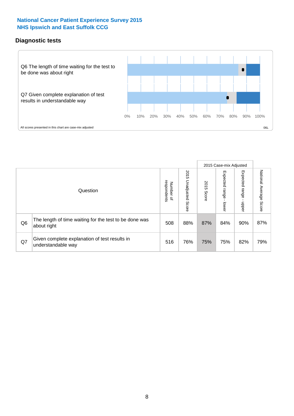### **Diagnostic tests**



|                |                                                                       |                                       |                             |               | 2015 Case-mix Adjusted  |                         |                           |
|----------------|-----------------------------------------------------------------------|---------------------------------------|-----------------------------|---------------|-------------------------|-------------------------|---------------------------|
|                | Question                                                              | respondents<br>Number<br>$\mathbf{Q}$ | 2015<br>Unadjusted<br>Score | 2015<br>Score | Expected range<br>lower | Expected range<br>nbber | National Average<br>Score |
| Q <sub>6</sub> | The length of time waiting for the test to be done was<br>about right | 508                                   | 88%                         | 87%           | 84%                     | 90%                     | 87%                       |
| Q7             | Given complete explanation of test results in<br>understandable way   | 516                                   | 76%                         | 75%           | 75%                     | 82%                     | 79%                       |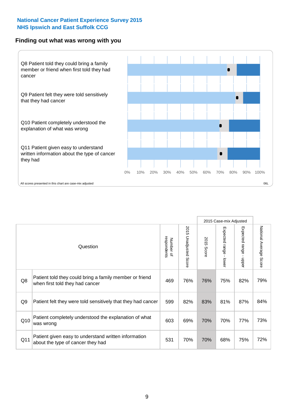#### **Finding out what was wrong with you**



|     |                                                                                            |                          |                                 |               | 2015 Case-mix Adjusted                  |                           |                        |
|-----|--------------------------------------------------------------------------------------------|--------------------------|---------------------------------|---------------|-----------------------------------------|---------------------------|------------------------|
|     | Question                                                                                   | Number of<br>respondents | 2015<br><b>Unadjusted Score</b> | 2015<br>Score | Expected range<br>$\mathbf{I}$<br>lower | Expected range -<br>nbber | National Average Score |
| Q8  | Patient told they could bring a family member or friend<br>when first told they had cancer | 469                      | 76%                             | 76%           | 75%                                     | 82%                       | 79%                    |
| Q9  | Patient felt they were told sensitively that they had cancer                               | 599                      | 82%                             | 83%           | 81%                                     | 87%                       | 84%                    |
| Q10 | Patient completely understood the explanation of what<br>was wrong                         | 603                      | 69%                             | 70%           | 70%                                     | 77%                       | 73%                    |
| Q11 | Patient given easy to understand written information<br>about the type of cancer they had  | 531                      | 70%                             | 70%           | 68%                                     | 75%                       | 72%                    |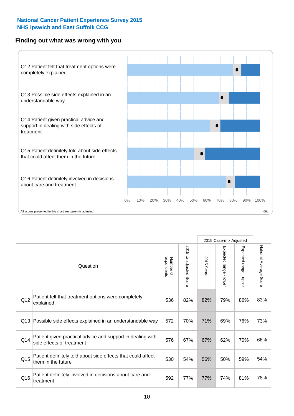### **Finding out what was wrong with you**



|          |                                                                                         |                          |                          |               | 2015 Case-mix Adjusted                    |                        |                        |
|----------|-----------------------------------------------------------------------------------------|--------------------------|--------------------------|---------------|-------------------------------------------|------------------------|------------------------|
| Question |                                                                                         | Number of<br>respondents | 2015<br>Unadjusted Score | 2015<br>Score | Expected range<br>$\blacksquare$<br>lower | Expected range - upper | National Average Score |
| Q12      | Patient felt that treatment options were completely<br>explained                        | 536                      | 82%                      | 82%           | 79%                                       | 86%                    | 83%                    |
| Q13      | Possible side effects explained in an understandable way                                | 572                      | 70%                      | 71%           | 69%                                       | 76%                    | 73%                    |
| Q14      | Patient given practical advice and support in dealing with<br>side effects of treatment | 576                      | 67%                      | 67%           | 62%                                       | 70%                    | 66%                    |
| Q15      | Patient definitely told about side effects that could affect<br>them in the future      | 530                      | 54%                      | 56%           | 50%                                       | 59%                    | 54%                    |
| Q16      | Patient definitely involved in decisions about care and<br>treatment                    | 592                      | 77%                      | 77%           | 74%                                       | 81%                    | 78%                    |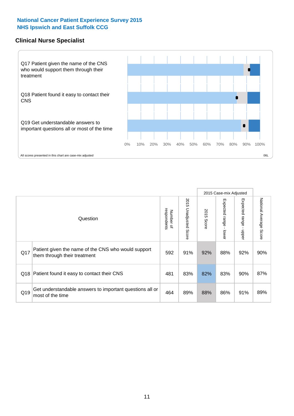#### **Clinical Nurse Specialist**



|     |                                                                                     |                          |                       |               | 2015 Case-mix Adjusted       |                         |                                  |
|-----|-------------------------------------------------------------------------------------|--------------------------|-----------------------|---------------|------------------------------|-------------------------|----------------------------------|
|     | Question                                                                            | respondents<br>Number of | 2015 Unadjusted Score | 2015<br>Score | Expected<br>I range<br>lower | Expected range<br>nbber | National Average<br><b>Score</b> |
| Q17 | Patient given the name of the CNS who would support<br>them through their treatment | 592                      | 91%                   | 92%           | 88%                          | 92%                     | 90%                              |
| Q18 | Patient found it easy to contact their CNS                                          | 481                      | 83%                   | 82%           | 83%                          | 90%                     | 87%                              |
| Q19 | Get understandable answers to important questions all or<br>most of the time        | 464                      | 89%                   | 88%           | 86%                          | 91%                     | 89%                              |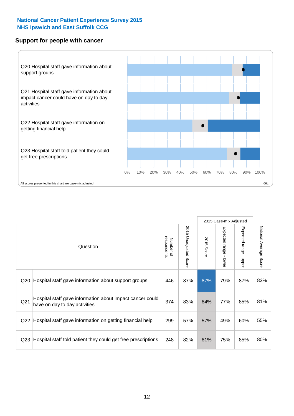### **Support for people with cancer**



|                 |                                                                                            |                          |                             |               | 2015 Case-mix Adjusted                  |                                           |                        |
|-----------------|--------------------------------------------------------------------------------------------|--------------------------|-----------------------------|---------------|-----------------------------------------|-------------------------------------------|------------------------|
|                 | Question                                                                                   | respondents<br>Number of | 2015<br>Unadjusted<br>Score | 2015<br>Score | Expected range<br>$\mathbf{I}$<br>lower | Expected range<br>$\blacksquare$<br>nbber | National Average Score |
| Q <sub>20</sub> | Hospital staff gave information about support groups                                       | 446                      | 87%                         | 87%           | 79%                                     | 87%                                       | 83%                    |
| Q <sub>21</sub> | Hospital staff gave information about impact cancer could<br>have on day to day activities | 374                      | 83%                         | 84%           | 77%                                     | 85%                                       | 81%                    |
| Q <sub>22</sub> | Hospital staff gave information on getting financial help                                  | 299                      | 57%                         | 57%           | 49%                                     | 60%                                       | 55%                    |
| Q <sub>23</sub> | Hospital staff told patient they could get free prescriptions                              | 248                      | 82%                         | 81%           | 75%                                     | 85%                                       | 80%                    |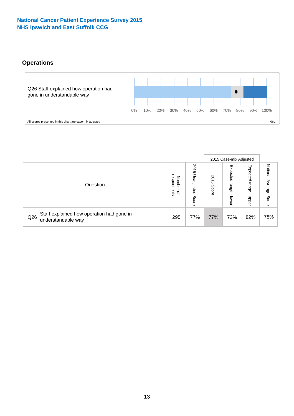# **Operations**



|     |                                                                 |                                              |                             |               | 2015 Case-mix Adjusted     |                            |                              |
|-----|-----------------------------------------------------------------|----------------------------------------------|-----------------------------|---------------|----------------------------|----------------------------|------------------------------|
|     | Question                                                        | respondents<br>Number<br>$\overline{\sigma}$ | 2015<br>Unadjusted<br>Score | 2015<br>Score | Expected<br>range<br>lower | Expected<br>range<br>doper | National<br>Average<br>Score |
| Q26 | Staff explained how operation had gone in<br>understandable way | 295                                          | 77%                         | 77%           | 73%                        | 82%                        | 78%                          |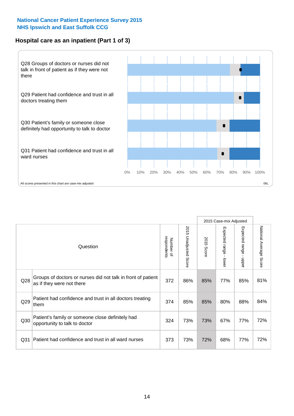### **Hospital care as an inpatient (Part 1 of 3)**



All scores presented in this chart are case-mix adjusted  $06L$ 

|                 |                                                                                           |                          |                          |                      | 2015 Case-mix Adjusted                  |                                       |                        |
|-----------------|-------------------------------------------------------------------------------------------|--------------------------|--------------------------|----------------------|-----------------------------------------|---------------------------------------|------------------------|
|                 | Question                                                                                  | respondents<br>Number of | 2015<br>Unadjusted Score | 2015<br><b>Score</b> | Expected range<br>$\mathbf{I}$<br>lower | Expected range<br>$\mathbf{I}$<br>ddo | National Average Score |
| Q28             | Groups of doctors or nurses did not talk in front of patient<br>as if they were not there | 372                      | 86%                      | 85%                  | 77%                                     | 85%                                   | 81%                    |
| Q29             | Patient had confidence and trust in all doctors treating<br>them                          | 374                      | 85%                      | 85%                  | 80%                                     | 88%                                   | 84%                    |
| Q30             | Patient's family or someone close definitely had<br>opportunity to talk to doctor         | 324                      | 73%                      | 73%                  | 67%                                     | 77%                                   | 72%                    |
| Q <sub>31</sub> | Patient had confidence and trust in all ward nurses                                       | 373                      | 73%                      | 72%                  | 68%                                     | 77%                                   | 72%                    |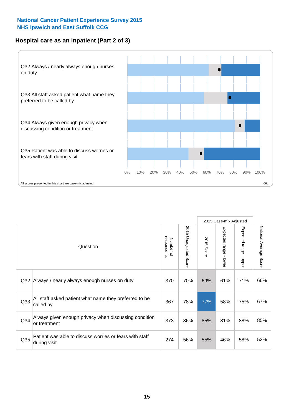### **Hospital care as an inpatient (Part 2 of 3)**



|                 |                                                                         |                          |                       |               | 2015 Case-mix Adjusted |                           |                           |
|-----------------|-------------------------------------------------------------------------|--------------------------|-----------------------|---------------|------------------------|---------------------------|---------------------------|
|                 | Question                                                                | respondents<br>Number of | 2015 Unadjusted Score | 2015<br>Score | Expected range - lower | Expected range -<br>nbber | National Average<br>Score |
| Q32             | Always / nearly always enough nurses on duty                            | 370                      | 70%                   | 69%           | 61%                    | 71%                       | 66%                       |
| Q <sub>33</sub> | All staff asked patient what name they preferred to be<br>called by     | 367                      | 78%                   | 77%           | 58%                    | 75%                       | 67%                       |
| Q <sub>34</sub> | Always given enough privacy when discussing condition<br>or treatment   | 373                      | 86%                   | 85%           | 81%                    | 88%                       | 85%                       |
| Q35             | Patient was able to discuss worries or fears with staff<br>during visit | 274                      | 56%                   | 55%           | 46%                    | 58%                       | 52%                       |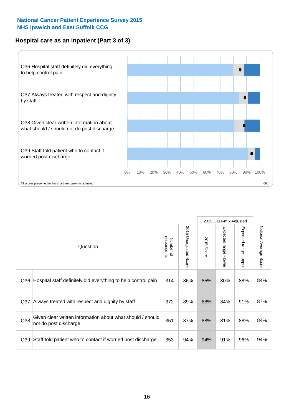### **Hospital care as an inpatient (Part 3 of 3)**



|                 |                                                                                     |                          |                                 |               | 2015 Case-mix Adjusted                    |                           |                        |
|-----------------|-------------------------------------------------------------------------------------|--------------------------|---------------------------------|---------------|-------------------------------------------|---------------------------|------------------------|
|                 | Question                                                                            | respondents<br>Number of | 2015<br><b>Unadjusted Score</b> | 2015<br>Score | Expected range<br>$\blacksquare$<br>lower | Expected range -<br>nbber | National Average Score |
| Q36             | Hospital staff definitely did everything to help control pain                       | 314                      | 86%                             | 85%           | 80%                                       | 88%                       | 84%                    |
| Q <sub>37</sub> | Always treated with respect and dignity by staff                                    | 372                      | 89%                             | 88%           | 84%                                       | 91%                       | 87%                    |
| Q38             | Given clear written information about what should / should<br>not do post discharge | 351                      | 87%                             | 88%           | 81%                                       | 88%                       | 84%                    |
| Q39             | Staff told patient who to contact if worried post discharge                         | 353                      | 94%                             | 94%           | 91%                                       | 96%                       | 94%                    |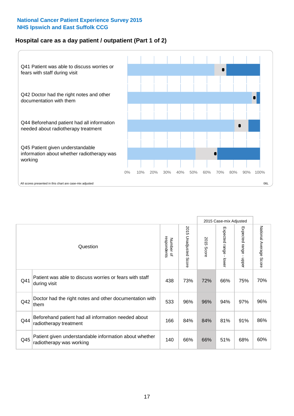### **Hospital care as a day patient / outpatient (Part 1 of 2)**



|     |                                                                                    |                          |                                 |               | 2015 Case-mix Adjusted                  |                           |                        |
|-----|------------------------------------------------------------------------------------|--------------------------|---------------------------------|---------------|-----------------------------------------|---------------------------|------------------------|
|     | Question                                                                           | respondents<br>Number of | 2015<br><b>Unadjusted Score</b> | 2015<br>Score | Expected range<br>$\mathbf{r}$<br>lower | Expected range -<br>nbber | National Average Score |
| Q41 | Patient was able to discuss worries or fears with staff<br>during visit            | 438                      | 73%                             | 72%           | 66%                                     | 75%                       | 70%                    |
| Q42 | Doctor had the right notes and other documentation with<br>them                    | 533                      | 96%                             | 96%           | 94%                                     | 97%                       | 96%                    |
| Q44 | Beforehand patient had all information needed about<br>radiotherapy treatment      | 166                      | 84%                             | 84%           | 81%                                     | 91%                       | 86%                    |
| Q45 | Patient given understandable information about whether<br>radiotherapy was working | 140                      | 66%                             | 66%           | 51%                                     | 68%                       | 60%                    |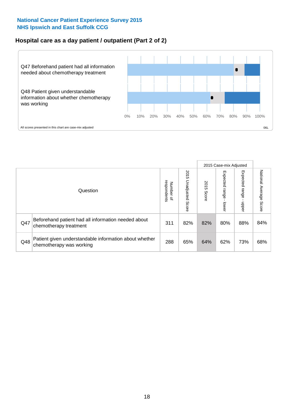### **Hospital care as a day patient / outpatient (Part 2 of 2)**



|     |                                                                                    |                                       |                             |               |                              | 2015 Case-mix Adjusted  |                           |
|-----|------------------------------------------------------------------------------------|---------------------------------------|-----------------------------|---------------|------------------------------|-------------------------|---------------------------|
|     | Question                                                                           | respondents<br>Number<br>$\mathbf{Q}$ | 2015<br>Unadjusted<br>Score | 2015<br>Score | Expected<br>I range<br>lower | Expected range<br>doper | National Average<br>Score |
| Q47 | Beforehand patient had all information needed about<br>chemotherapy treatment      | 311                                   | 82%                         | 82%           | 80%                          | 88%                     | 84%                       |
| Q48 | Patient given understandable information about whether<br>chemotherapy was working | 288                                   | 65%                         | 64%           | 62%                          | 73%                     | 68%                       |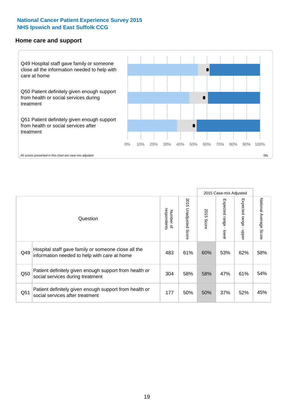#### **Home care and support**



2015 Case-mix Adjusted 2015 Unadjusted Score Expected range - upper National Average Score 2015 Unadjusted Score Expected range - lower National Average Score Expected range - lower Expected range - upper Number of<br>respondents respondents 2015 Score 2015 Score Number of Question Hospital staff gave family or someone close all the  $Q49$  information needed to help with care at home  $\begin{array}{|l|l|l|l|l|}\n\hline\n\end{array}$  483 | 61% | 60% | 53% | 62% | 58% Patient definitely given enough support from health or  $\frac{1}{2050}$  social services during treatment  $\frac{304}{58\%}$  58% 58% 47% 61% 54% Patient definitely given enough support from health or Q51 social services after treatment<br>
Q51 social services after treatment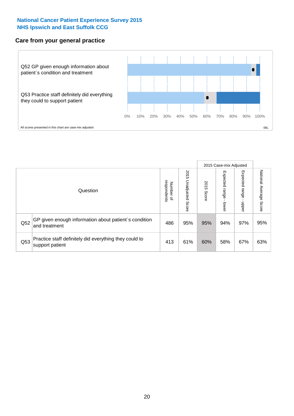### **Care from your general practice**



|     |                                                                           |                                       |                             |               |                                    | 2015 Case-mix Adjusted  |                           |
|-----|---------------------------------------------------------------------------|---------------------------------------|-----------------------------|---------------|------------------------------------|-------------------------|---------------------------|
|     | Question                                                                  | respondents<br>Number<br>$\mathbf{Q}$ | 2015<br>Unadjusted<br>Score | 2015<br>Score | Expected<br><b>Irange</b><br>lower | Expected range<br>doper | National Average<br>Score |
| Q52 | GP given enough information about patient's condition<br>and treatment    | 486                                   | 95%                         | 95%           | 94%                                | 97%                     | 95%                       |
| Q53 | Practice staff definitely did everything they could to<br>support patient | 413                                   | 61%                         | 60%           | 58%                                | 67%                     | 63%                       |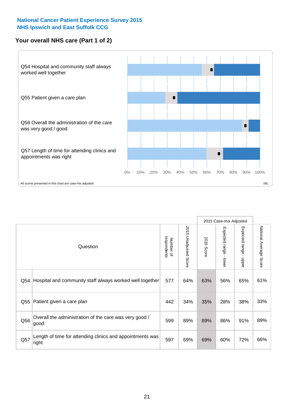### **Your overall NHS care (Part 1 of 2)**



|     |                                                                    |                          |                                 |               | 2015 Case-mix Adjusted                    |                                           |                        |
|-----|--------------------------------------------------------------------|--------------------------|---------------------------------|---------------|-------------------------------------------|-------------------------------------------|------------------------|
|     | Question                                                           | respondents<br>Number of | 2015<br><b>Unadjusted Score</b> | 2015<br>Score | Expected range<br>$\blacksquare$<br>lower | Expected range<br>$\blacksquare$<br>nbber | National Average Score |
| Q54 | Hospital and community staff always worked well together           | 577                      | 64%                             | 63%           | 56%                                       | 65%                                       | 61%                    |
| Q55 | Patient given a care plan                                          | 442                      | 34%                             | 35%           | 28%                                       | 38%                                       | 33%                    |
| Q56 | Overall the administration of the care was very good /<br>good     | 599                      | 89%                             | 89%           | 86%                                       | 91%                                       | 89%                    |
| Q57 | Length of time for attending clinics and appointments was<br>right | 597                      | 69%                             | 69%           | 60%                                       | 72%                                       | 66%                    |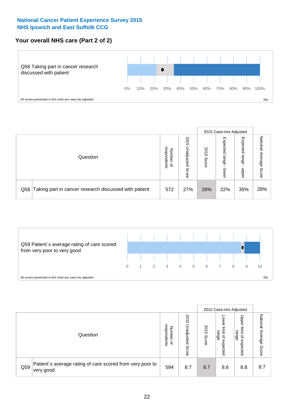### **Your overall NHS care (Part 2 of 2)**



|     |                                                       |                                              |                                 |               |                            | 2015 Case-mix Adjusted     |                           |
|-----|-------------------------------------------------------|----------------------------------------------|---------------------------------|---------------|----------------------------|----------------------------|---------------------------|
|     | Question                                              | respondents<br>Number<br>$\overline{\sigma}$ | 2015<br>Unadjusted<br>ഗ<br>core | 2015<br>Score | Expected<br>range<br>lower | Expected<br>range<br>doper | National Average<br>Score |
| Q58 | Taking part in cancer research discussed with patient | 572                                          | 27%                             | 26%           | 22%                        | 35%                        | 28%                       |



|     |                                                                        |                                              |                             |               |                                         | 2015 Case-mix Adjusted                          |                        |
|-----|------------------------------------------------------------------------|----------------------------------------------|-----------------------------|---------------|-----------------------------------------|-------------------------------------------------|------------------------|
|     | Question                                                               | respondents<br>Number<br>$\overline{\sigma}$ | 2015<br>Unadjusted<br>Score | 2015<br>Score | OWer<br>limit<br>range<br>٩<br>expected | Upper<br>jimit<br>range<br>$\Omega$<br>expected | National Average Score |
| Q59 | Patient's average rating of care scored from very poor to<br>very good | 594                                          | 8.7                         | 8.7           | 8.6                                     | 8.8                                             | 8.7                    |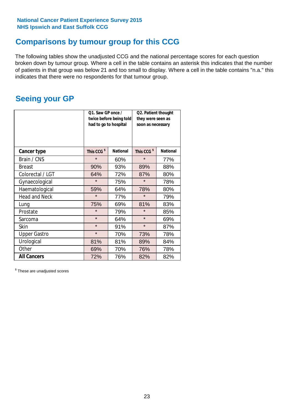# **Comparisons by tumour group for this CCG**

The following tables show the unadjusted CCG and the national percentage scores for each question broken down by tumour group. Where a cell in the table contains an asterisk this indicates that the number of patients in that group was below 21 and too small to display. Where a cell in the table contains "n.a." this indicates that there were no respondents for that tumour group.

# **Seeing your GP**

|                      | Q1. Saw GP once /<br>had to go to hospital | twice before being told | Q2. Patient thought<br>they were seen as<br>soon as necessary |                 |  |
|----------------------|--------------------------------------------|-------------------------|---------------------------------------------------------------|-----------------|--|
| <b>Cancer type</b>   | This CCG <sup>\$</sup>                     | <b>National</b>         | This CCG <sup>\$</sup>                                        | <b>National</b> |  |
| Brain / CNS          | $\star$                                    | 60%                     | $\star$                                                       | 77%             |  |
| <b>Breast</b>        | 90%                                        | 93%                     | 89%                                                           | 88%             |  |
| Colorectal / LGT     | 64%                                        | 72%                     | 87%                                                           | 80%             |  |
| Gynaecological       | $\star$                                    | 75%                     | $\star$                                                       | 78%             |  |
| Haematological       | 59%                                        | 64%                     | 78%                                                           | 80%             |  |
| <b>Head and Neck</b> | $\star$                                    | 77%                     | $\star$                                                       | 79%             |  |
| Lung                 | 75%                                        | 69%                     | 81%                                                           | 83%             |  |
| Prostate             | $\star$                                    | 79%                     | $\star$                                                       | 85%             |  |
| Sarcoma              | $\star$                                    | 64%                     | $\star$                                                       | 69%             |  |
| Skin                 | $\star$                                    | 91%                     | $\star$                                                       | 87%             |  |
| <b>Upper Gastro</b>  | $\star$                                    | 70%                     | 73%                                                           | 78%             |  |
| Urological           | 81%                                        | 81%                     | 89%                                                           | 84%             |  |
| Other                | 69%                                        | 70%                     | 76%                                                           | 78%             |  |
| <b>All Cancers</b>   | 72%                                        | 76%                     | 82%                                                           | 82%             |  |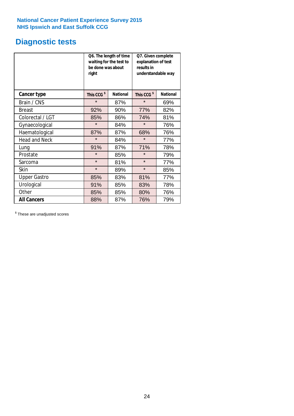# **Diagnostic tests**

|                      | be done was about<br>right | Q6. The length of time<br>waiting for the test to | Q7. Given complete<br>explanation of test<br>results in<br>understandable way |                 |  |  |
|----------------------|----------------------------|---------------------------------------------------|-------------------------------------------------------------------------------|-----------------|--|--|
| <b>Cancer type</b>   | This CCG <sup>\$</sup>     | <b>National</b>                                   | This CCG <sup>\$</sup>                                                        | <b>National</b> |  |  |
| Brain / CNS          | $\star$                    | 87%                                               | $\star$                                                                       | 69%             |  |  |
| <b>Breast</b>        | 92%                        | 90%                                               | 77%                                                                           | 82%             |  |  |
| Colorectal / LGT     | 85%                        | 86%                                               | 74%                                                                           | 81%             |  |  |
| Gynaecological       | $\star$                    | 84%                                               | $\star$                                                                       | 76%             |  |  |
| Haematological       | 87%                        | 87%                                               | 68%                                                                           | 76%             |  |  |
| <b>Head and Neck</b> | $\star$                    | 84%                                               | $\star$                                                                       | 77%             |  |  |
| Lung                 | 91%                        | 87%                                               | 71%                                                                           | 78%             |  |  |
| Prostate             | $\star$                    | 85%                                               | $\star$                                                                       | 79%             |  |  |
| Sarcoma              | $\star$                    | 81%                                               | $\star$                                                                       | 77%             |  |  |
| Skin                 | $\star$                    | 89%                                               | $\star$                                                                       | 85%             |  |  |
| <b>Upper Gastro</b>  | 85%                        | 83%                                               | 81%                                                                           | 77%             |  |  |
| Urological           | 91%                        | 85%                                               | 83%                                                                           | 78%             |  |  |
| Other                | 85%                        | 85%                                               | 80%                                                                           | 76%             |  |  |
| <b>All Cancers</b>   | 88%                        | 87%                                               | 76%                                                                           | 79%             |  |  |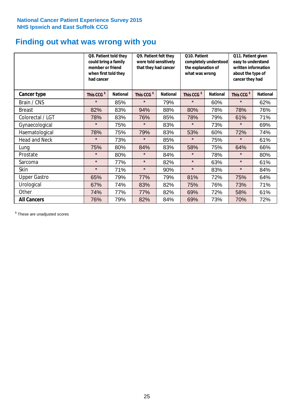# **Finding out what was wrong with you**

|                      | Q8. Patient told they<br>could bring a family<br>member or friend<br>when first told they<br>had cancer |                 | Q9. Patient felt they<br>were told sensitively<br>that they had cancer |                 | Q10. Patient<br>completely understood<br>the explanation of<br>what was wrong |                 | Q11. Patient given<br>easy to understand<br>written information<br>about the type of<br>cancer they had |                 |
|----------------------|---------------------------------------------------------------------------------------------------------|-----------------|------------------------------------------------------------------------|-----------------|-------------------------------------------------------------------------------|-----------------|---------------------------------------------------------------------------------------------------------|-----------------|
| Cancer type          | This CCG <sup>\$</sup>                                                                                  | <b>National</b> | This CCG <sup>\$</sup>                                                 | <b>National</b> | This CCG <sup>\$</sup>                                                        | <b>National</b> | This CCG <sup>\$</sup>                                                                                  | <b>National</b> |
| Brain / CNS          | $\star$                                                                                                 | 85%             | $\star$                                                                | 79%             | $\star$                                                                       | 60%             | $\star$                                                                                                 | 62%             |
| <b>Breast</b>        | 82%                                                                                                     | 83%             | 94%                                                                    | 88%             | 80%                                                                           | 78%             | 78%                                                                                                     | 76%             |
| Colorectal / LGT     | 78%                                                                                                     | 83%             | 76%                                                                    | 85%             | 78%                                                                           | 79%             | 61%                                                                                                     | 71%             |
| Gynaecological       | $\star$                                                                                                 | 75%             | $\star$                                                                | 83%             | $\star$                                                                       | 73%             | $\star$                                                                                                 | 69%             |
| Haematological       | 78%                                                                                                     | 75%             | 79%                                                                    | 83%             | 53%                                                                           | 60%             | 72%                                                                                                     | 74%             |
| <b>Head and Neck</b> | $\star$                                                                                                 | 73%             | $\star$                                                                | 85%             | $\star$                                                                       | 75%             | $\star$                                                                                                 | 61%             |
| Lung                 | 75%                                                                                                     | 80%             | 84%                                                                    | 83%             | 58%                                                                           | 75%             | 64%                                                                                                     | 66%             |
| Prostate             | $\star$                                                                                                 | 80%             | $\star$                                                                | 84%             | $\star$                                                                       | 78%             | $\star$                                                                                                 | 80%             |
| Sarcoma              | $\star$                                                                                                 | 77%             | $\star$                                                                | 82%             | $\star$                                                                       | 63%             | $\star$                                                                                                 | 61%             |
| Skin                 | $\star$                                                                                                 | 71%             | $\star$                                                                | 90%             | $\star$                                                                       | 83%             | $\star$                                                                                                 | 84%             |
| <b>Upper Gastro</b>  | 65%                                                                                                     | 79%             | 77%                                                                    | 79%             | 81%                                                                           | 72%             | 75%                                                                                                     | 64%             |
| Urological           | 67%                                                                                                     | 74%             | 83%                                                                    | 82%             | 75%                                                                           | 76%             | 73%                                                                                                     | 71%             |
| Other                | 74%                                                                                                     | 77%             | 77%                                                                    | 82%             | 69%                                                                           | 72%             | 58%                                                                                                     | 61%             |
| <b>All Cancers</b>   | 76%                                                                                                     | 79%             | 82%                                                                    | 84%             | 69%                                                                           | 73%             | 70%                                                                                                     | 72%             |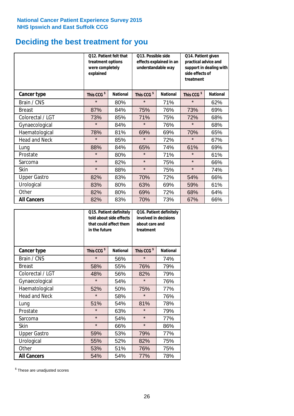# **Deciding the best treatment for you**

|                      | <b>Q12. Patient felt that</b><br>treatment options<br>were completely<br>explained |                 | Q13. Possible side<br>understandable way | effects explained in an | Q14. Patient given<br>practical advice and<br>support in dealing with<br>side effects of<br>treatment |                 |  |
|----------------------|------------------------------------------------------------------------------------|-----------------|------------------------------------------|-------------------------|-------------------------------------------------------------------------------------------------------|-----------------|--|
| <b>Cancer type</b>   | This CCG <sup>\$</sup>                                                             | <b>National</b> | This CCG <sup>\$</sup>                   | <b>National</b>         | This CCG <sup>\$</sup>                                                                                | <b>National</b> |  |
| Brain / CNS          | $\star$                                                                            | 80%             | $\star$                                  | 71%                     | $\star$                                                                                               | 62%             |  |
| <b>Breast</b>        | 87%                                                                                | 84%             | 75%                                      | 76%                     | 73%                                                                                                   | 69%             |  |
| Colorectal / LGT     | 73%                                                                                | 85%             | 71%                                      | 75%                     | 72%                                                                                                   | 68%             |  |
| Gynaecological       | $\star$                                                                            | 84%             | $\star$                                  | 76%                     | $\star$                                                                                               | 68%             |  |
| Haematological       | 78%                                                                                | 81%             | 69%                                      | 69%                     | 70%                                                                                                   | 65%             |  |
| <b>Head and Neck</b> | $\star$                                                                            | 85%             | $\star$                                  | 72%                     | $\star$                                                                                               | 67%             |  |
| Lung                 | 88%                                                                                | 84%             | 65%                                      | 74%                     | 61%                                                                                                   | 69%             |  |
| Prostate             | $\star$                                                                            | 80%             | $\star$                                  | 71%                     | $\star$                                                                                               | 61%             |  |
| Sarcoma              | $\star$                                                                            | 82%             | $\star$                                  | 75%                     | $\star$                                                                                               | 66%             |  |
| Skin                 | $\star$                                                                            | 88%             | $\star$                                  | 75%                     | $\star$                                                                                               | 74%             |  |
| <b>Upper Gastro</b>  | 82%                                                                                | 83%             | 70%                                      | 72%                     | 54%                                                                                                   | 66%             |  |
| Urological           | 83%                                                                                | 80%             | 63%                                      | 69%                     | 59%                                                                                                   | 61%             |  |
| Other                | 82%                                                                                | 80%             | 69%                                      | 72%                     | 68%                                                                                                   | 64%             |  |
| <b>All Cancers</b>   | 82%                                                                                | 83%             | 70%                                      | 73%                     | 67%                                                                                                   | 66%             |  |

|                      | in the future          | Q15. Patient definitely<br>told about side effects<br>that could affect them | Q16. Patient definitely<br>involved in decisions<br>about care and<br>treatment |                 |  |
|----------------------|------------------------|------------------------------------------------------------------------------|---------------------------------------------------------------------------------|-----------------|--|
| <b>Cancer type</b>   | This CCG <sup>\$</sup> | <b>National</b>                                                              | This CCG <sup>\$</sup>                                                          | <b>National</b> |  |
| Brain / CNS          | $\star$                | 56%                                                                          | $\star$                                                                         | 74%             |  |
| <b>Breast</b>        | 58%                    | 55%                                                                          | 76%                                                                             | 79%             |  |
| Colorectal / LGT     | 48%                    | 56%                                                                          | 82%                                                                             | 79%             |  |
| Gynaecological       | $\star$                | 54%                                                                          | $\star$                                                                         | 76%             |  |
| Haematological       | 52%                    | 50%                                                                          |                                                                                 | 77%             |  |
| <b>Head and Neck</b> | $\star$                | 58%                                                                          | $\star$                                                                         | 76%             |  |
| Lung                 | 51%                    | 54%                                                                          | 81%                                                                             | 78%             |  |
| Prostate             | $\star$                | 63%                                                                          | $\star$                                                                         | 79%             |  |
| Sarcoma              | $\star$                | 54%                                                                          | $\star$                                                                         | 77%             |  |
| Skin                 | $\star$                | 66%                                                                          | $\star$                                                                         | 86%             |  |
| <b>Upper Gastro</b>  | 59%                    | 53%                                                                          | 79%                                                                             | 77%             |  |
| Urological           | 55%                    | 52%                                                                          | 82%                                                                             | 75%             |  |
| Other                | 53%                    | 51%                                                                          | 76%                                                                             | 75%             |  |
| <b>All Cancers</b>   | 54%                    | 54%                                                                          | 77%                                                                             | 78%             |  |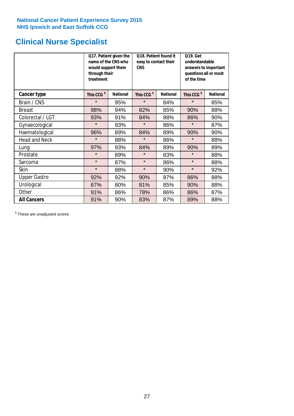# **Clinical Nurse Specialist**

|                      | would support them<br>through their<br>treatment | Q17. Patient given the<br>name of the CNS who | Q18. Patient found it<br>easy to contact their<br><b>CNS</b> |                 | <b>Q19. Get</b><br>understandable<br>answers to important<br>questions all or most<br>of the time |                 |  |
|----------------------|--------------------------------------------------|-----------------------------------------------|--------------------------------------------------------------|-----------------|---------------------------------------------------------------------------------------------------|-----------------|--|
| <b>Cancer type</b>   | This CCG <sup>\$</sup>                           | <b>National</b>                               | This CCG <sup>\$</sup>                                       | <b>National</b> | This CCG <sup>\$</sup>                                                                            | <b>National</b> |  |
| Brain / CNS          | $\star$                                          | 95%                                           | $\star$                                                      | 84%             | $\star$                                                                                           | 85%             |  |
| <b>Breast</b>        | 98%                                              | 94%                                           | 82%                                                          | 85%             | 90%                                                                                               | 88%             |  |
| Colorectal / LGT     | 93%                                              | 91%                                           | 84%                                                          | 88%             | 86%                                                                                               | 90%             |  |
| Gynaecological       | $\star$                                          | 93%                                           | $\star$                                                      | 86%             | $\star$                                                                                           | 87%             |  |
| Haematological       | 96%                                              | 89%                                           | 84%                                                          | 89%             | 90%                                                                                               | 90%             |  |
| <b>Head and Neck</b> | $\star$                                          | 88%                                           | $\star$                                                      | 86%             | $\star$                                                                                           | 88%             |  |
| Lung                 | 97%                                              | 93%                                           | 84%                                                          | 89%             | 90%                                                                                               | 89%             |  |
| Prostate             | $\star$                                          | 89%                                           | $\star$                                                      | 83%             | $\star$                                                                                           | 88%             |  |
| Sarcoma              | $\star$                                          | 87%                                           | $\star$                                                      | 86%             | $\star$                                                                                           | 88%             |  |
| Skin                 | $\star$                                          | 88%                                           | $\star$                                                      | 90%             | $\star$                                                                                           | 92%             |  |
| <b>Upper Gastro</b>  | 92%                                              | 92%                                           | 90%                                                          | 87%             | 86%                                                                                               | 88%             |  |
| Urological           | 67%                                              | 80%                                           | 81%                                                          | 85%             | 90%                                                                                               | 88%             |  |
| Other                | 91%                                              | 86%                                           | 78%                                                          | 86%             | 86%                                                                                               | 87%             |  |
| <b>All Cancers</b>   | 91%                                              | 90%                                           | 83%                                                          | 87%             | 89%                                                                                               | 88%             |  |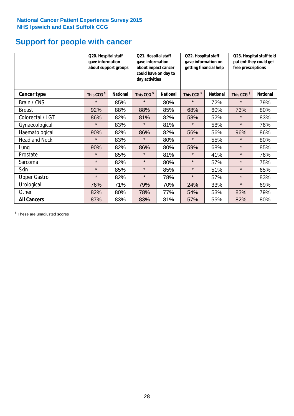# **Support for people with cancer**

|                      |                        | Q20. Hospital staff<br>Q21. Hospital staff<br>gave information<br>gave information<br>about support groups<br>day activities |                        | Q22. Hospital staff<br>gave information on<br>about impact cancer<br>getting financial help<br>could have on day to |                        |                 |                        | Q23. Hospital staff told<br>patient they could get<br>free prescriptions |  |
|----------------------|------------------------|------------------------------------------------------------------------------------------------------------------------------|------------------------|---------------------------------------------------------------------------------------------------------------------|------------------------|-----------------|------------------------|--------------------------------------------------------------------------|--|
| Cancer type          | This CCG <sup>\$</sup> | <b>National</b>                                                                                                              | This CCG <sup>\$</sup> | <b>National</b>                                                                                                     | This CCG <sup>\$</sup> | <b>National</b> | This CCG <sup>\$</sup> | <b>National</b>                                                          |  |
| Brain / CNS          | $\star$                | 85%                                                                                                                          | $\star$                | 80%                                                                                                                 | $\star$                | 72%             | $\star$                | 79%                                                                      |  |
| <b>Breast</b>        | 92%                    | 88%                                                                                                                          | 88%                    | 85%                                                                                                                 | 68%                    | 60%             | 73%                    | 80%                                                                      |  |
| Colorectal / LGT     | 86%                    | 82%                                                                                                                          | 81%                    | 82%                                                                                                                 | 58%                    | 52%             | $\star$                | 83%                                                                      |  |
| Gynaecological       | $\star$                | 83%                                                                                                                          | $\star$                | 81%                                                                                                                 | $\star$                | 58%             | $\star$                | 76%                                                                      |  |
| Haematological       | 90%                    | 82%                                                                                                                          | 86%                    | 82%                                                                                                                 | 56%                    | 56%             | 96%                    | 86%                                                                      |  |
| <b>Head and Neck</b> | $\star$                | 83%                                                                                                                          | $\star$                | 80%                                                                                                                 | $\star$                | 55%             | $\star$                | 80%                                                                      |  |
| Lung                 | 90%                    | 82%                                                                                                                          | 86%                    | 80%                                                                                                                 | 59%                    | 68%             | $\star$                | 85%                                                                      |  |
| Prostate             | $\star$                | 85%                                                                                                                          | $\star$                | 81%                                                                                                                 | $\star$                | 41%             | $\star$                | 76%                                                                      |  |
| Sarcoma              | $\star$                | 82%                                                                                                                          | $\star$                | 80%                                                                                                                 | $\star$                | 57%             | $\star$                | 75%                                                                      |  |
| Skin                 | $\star$                | 85%                                                                                                                          | $\star$                | 85%                                                                                                                 | $\star$                | 51%             | $\star$                | 65%                                                                      |  |
| <b>Upper Gastro</b>  | $\star$                | 82%                                                                                                                          | $\star$                | 78%                                                                                                                 | $\star$                | 57%             | $\star$                | 83%                                                                      |  |
| Urological           | 76%                    | 71%                                                                                                                          | 79%                    | 70%                                                                                                                 | 24%                    | 33%             | $\star$                | 69%                                                                      |  |
| Other                | 82%                    | 80%                                                                                                                          | 78%                    | 77%                                                                                                                 | 54%                    | 53%             | 83%                    | 79%                                                                      |  |
| <b>All Cancers</b>   | 87%                    | 83%                                                                                                                          | 83%                    | 81%                                                                                                                 | 57%                    | 55%             | 82%                    | 80%                                                                      |  |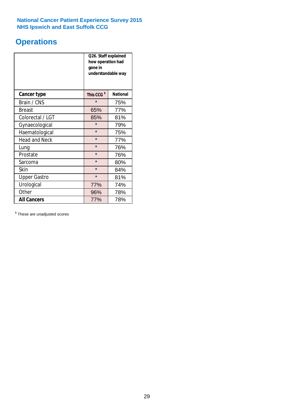# **Operations**

|                      | Q26. Staff explained<br>how operation had<br>gone in<br>understandable way |                 |  |  |
|----------------------|----------------------------------------------------------------------------|-----------------|--|--|
| <b>Cancer type</b>   | This CCG <sup>\$</sup>                                                     | <b>National</b> |  |  |
| Brain / CNS          | $\star$                                                                    | 75%             |  |  |
| <b>Breast</b>        | 65%                                                                        | 77%             |  |  |
| Colorectal / LGT     | 85%                                                                        | 81%             |  |  |
| Gynaecological       | $\star$                                                                    | 79%             |  |  |
| Haematological       | $\star$                                                                    | 75%             |  |  |
| <b>Head and Neck</b> | $\star$                                                                    | 77%             |  |  |
| Lung                 | $\star$                                                                    | 76%             |  |  |
| Prostate             | $\star$                                                                    | 76%             |  |  |
| Sarcoma              | $\star$                                                                    | 80%             |  |  |
| Skin                 | $\star$                                                                    | 84%             |  |  |
| <b>Upper Gastro</b>  | $\star$                                                                    | 81%             |  |  |
| Urological           | 77%                                                                        | 74%             |  |  |
| Other                | 96%                                                                        | 78%             |  |  |
| <b>All Cancers</b>   | 77%                                                                        | 78%             |  |  |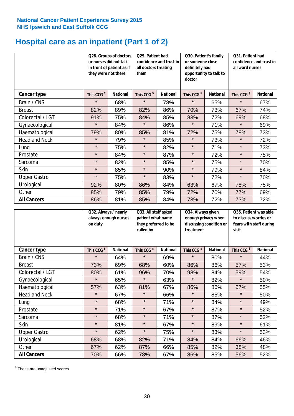# **Hospital care as an inpatient (Part 1 of 2)**

|                      |                        | Q28. Groups of doctors<br>or nurses did not talk<br>in front of patient as if<br>they were not there |                        | Q29. Patient had<br>confidence and trust in<br>all doctors treating<br>them |                        | Q30. Patient's family<br>or someone close<br>definitely had<br>opportunity to talk to<br>doctor |                        | Q31. Patient had<br>confidence and trust in I<br>all ward nurses |  |
|----------------------|------------------------|------------------------------------------------------------------------------------------------------|------------------------|-----------------------------------------------------------------------------|------------------------|-------------------------------------------------------------------------------------------------|------------------------|------------------------------------------------------------------|--|
| Cancer type          | This CCG <sup>\$</sup> | <b>National</b>                                                                                      | This CCG <sup>\$</sup> | <b>National</b>                                                             | This CCG <sup>\$</sup> | <b>National</b>                                                                                 | This CCG <sup>\$</sup> | <b>National</b>                                                  |  |
| Brain / CNS          | $\star$                | 68%                                                                                                  | $\star$                | 78%                                                                         | $\star$                | 65%                                                                                             | $\star$                | 67%                                                              |  |
| <b>Breast</b>        | 82%                    | 89%                                                                                                  | 82%                    | 86%                                                                         | 70%                    | 73%                                                                                             | 67%                    | 74%                                                              |  |
| Colorectal / LGT     | 91%                    | 75%                                                                                                  | 84%                    | 85%                                                                         | 83%                    | 72%                                                                                             | 69%                    | 68%                                                              |  |
| Gynaecological       | $\star$                | 84%                                                                                                  | $\star$                | 86%                                                                         | $\star$                | 71%                                                                                             | $\star$                | 69%                                                              |  |
| Haematological       | 79%                    | 80%                                                                                                  | 85%                    | 81%                                                                         | 72%                    | 75%                                                                                             | 78%                    | 73%                                                              |  |
| <b>Head and Neck</b> | $\star$                | 79%                                                                                                  | $\star$                | 85%                                                                         | $\star$                | 73%                                                                                             | $\star$                | 72%                                                              |  |
| Lung                 | $\star$                | 75%                                                                                                  | $\star$                | 82%                                                                         | $\star$                | 71%                                                                                             | $\star$                | 73%                                                              |  |
| Prostate             | $\star$                | 84%                                                                                                  | $\star$                | 87%                                                                         | $\star$                | 72%                                                                                             | $\star$                | 75%                                                              |  |
| Sarcoma              | $\star$                | 82%                                                                                                  | $\star$                | 85%                                                                         | $\star$                | 75%                                                                                             | $\star$                | 70%                                                              |  |
| Skin                 | $\star$                | 85%                                                                                                  | $\star$                | 90%                                                                         | $\star$                | 79%                                                                                             | $\star$                | 84%                                                              |  |
| <b>Upper Gastro</b>  | $\star$                | 75%                                                                                                  | $\star$                | 83%                                                                         | $\star$                | 72%                                                                                             | $\star$                | 70%                                                              |  |
| Urological           | 92%                    | 80%                                                                                                  | 86%                    | 84%                                                                         | 63%                    | 67%                                                                                             | 78%                    | 75%                                                              |  |
| Other                | 85%                    | 79%                                                                                                  | 85%                    | 79%                                                                         | 72%                    | 70%                                                                                             | 77%                    | 69%                                                              |  |
| <b>All Cancers</b>   | 86%                    | 81%                                                                                                  | 85%                    | 84%                                                                         | 73%                    | 72%                                                                                             | 73%                    | 72%                                                              |  |

|                      | Q32. Always / nearly<br>always enough nurses<br>on duty |                 | Q33. All staff asked<br>patient what name<br>they preferred to be<br>called by |                 | Q34. Always given<br>enough privacy when<br>discussing condition or<br>treatment |                 | Q35. Patient was able<br>to discuss worries or<br>fears with staff during<br>visit |                 |
|----------------------|---------------------------------------------------------|-----------------|--------------------------------------------------------------------------------|-----------------|----------------------------------------------------------------------------------|-----------------|------------------------------------------------------------------------------------|-----------------|
| <b>Cancer type</b>   | This CCG <sup>\$</sup>                                  | <b>National</b> | This CCG <sup>\$</sup>                                                         | <b>National</b> | This CCG <sup>\$</sup>                                                           | <b>National</b> | This CCG <sup>\$</sup>                                                             | <b>National</b> |
| Brain / CNS          | $\star$                                                 | 64%             | $\star$                                                                        | 69%             | $\star$                                                                          | 80%             | $\star$                                                                            | 44%             |
| <b>Breast</b>        | 73%                                                     | 69%             | 68%                                                                            | 60%             | 86%                                                                              | 86%             | 57%                                                                                | 53%             |
| Colorectal / LGT     | 80%                                                     | 61%             | 96%                                                                            | 70%             | 98%                                                                              | 84%             | 59%                                                                                | 54%             |
| Gynaecological       | $\star$                                                 | 65%             | $\star$                                                                        | 63%             | $\star$                                                                          | 82%             | $\star$                                                                            | 50%             |
| Haematological       | 57%                                                     | 63%             | 81%                                                                            | 67%             | 86%                                                                              | 86%             | 57%                                                                                | 55%             |
| <b>Head and Neck</b> | $\star$                                                 | 67%             | $\star$                                                                        | 66%             | $\star$                                                                          | 85%             | $\star$                                                                            | 50%             |
| Lung                 | $\star$                                                 | 68%             | $\star$                                                                        | 71%             | $\star$                                                                          | 84%             | $\star$                                                                            | 49%             |
| Prostate             | $\star$                                                 | 71%             | $\star$                                                                        | 67%             | $\star$                                                                          | 87%             | $\star$                                                                            | 52%             |
| Sarcoma              | $\star$                                                 | 68%             | $\star$                                                                        | 71%             | $\star$                                                                          | 87%             | $\star$                                                                            | 52%             |
| Skin                 | $\star$                                                 | 81%             | $\star$                                                                        | 67%             | $\star$                                                                          | 89%             | $\star$                                                                            | 61%             |
| <b>Upper Gastro</b>  | $\star$                                                 | 62%             | $\star$                                                                        | 75%             | $\star$                                                                          | 83%             | $\star$                                                                            | 53%             |
| Urological           | 68%                                                     | 68%             | 82%                                                                            | 71%             | 84%                                                                              | 84%             | 66%                                                                                | 46%             |
| Other                | 67%                                                     | 62%             | 87%                                                                            | 66%             | 85%                                                                              | 82%             | 38%                                                                                | 48%             |
| <b>All Cancers</b>   | 70%                                                     | 66%             | 78%                                                                            | 67%             | 86%                                                                              | 85%             | 56%                                                                                | 52%             |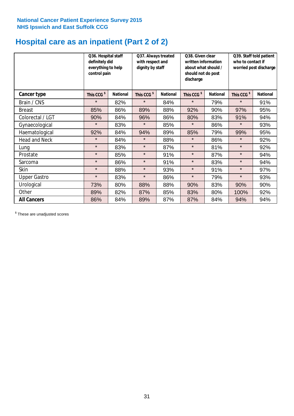# **Hospital care as an inpatient (Part 2 of 2)**

|                      | Q36. Hospital staff<br>definitely did<br>everything to help<br>control pain |                 | Q37. Always treated<br>with respect and<br>dignity by staff |                 | Q38. Given clear<br>written information<br>about what should /<br>should not do post<br>discharge |                 | Q39. Staff told patient<br>who to contact if<br>worried post discharge |                 |
|----------------------|-----------------------------------------------------------------------------|-----------------|-------------------------------------------------------------|-----------------|---------------------------------------------------------------------------------------------------|-----------------|------------------------------------------------------------------------|-----------------|
| Cancer type          | This CCG <sup>\$</sup>                                                      | <b>National</b> | This CCG <sup>\$</sup>                                      | <b>National</b> | This CCG <sup>\$</sup>                                                                            | <b>National</b> | This CCG <sup>\$</sup>                                                 | <b>National</b> |
| Brain / CNS          | $\star$                                                                     | 82%             | $\star$                                                     | 84%             | $\star$                                                                                           | 79%             | $\star$                                                                | 91%             |
| <b>Breast</b>        | 85%                                                                         | 86%             | 89%                                                         | 88%             | 92%                                                                                               | 90%             | 97%                                                                    | 95%             |
| Colorectal / LGT     | 90%                                                                         | 84%             | 96%                                                         | 86%             | 80%                                                                                               | 83%             | 91%                                                                    | 94%             |
| Gynaecological       | $\star$                                                                     | 83%             | $\star$                                                     | 85%             | $\star$                                                                                           | 86%             | $\star$                                                                | 93%             |
| Haematological       | 92%                                                                         | 84%             | 94%                                                         | 89%             | 85%                                                                                               | 79%             | 99%                                                                    | 95%             |
| <b>Head and Neck</b> | $\star$                                                                     | 84%             | $\star$                                                     | 88%             | $\star$                                                                                           | 86%             | $\star$                                                                | 92%             |
| Lung                 | $\star$                                                                     | 83%             | $\star$                                                     | 87%             | $\star$                                                                                           | 81%             | $\star$                                                                | 92%             |
| Prostate             | $\star$                                                                     | 85%             | $\star$                                                     | 91%             | $\star$                                                                                           | 87%             | $\star$                                                                | 94%             |
| Sarcoma              | $\star$                                                                     | 86%             | $\star$                                                     | 91%             | $\star$                                                                                           | 83%             | $\star$                                                                | 94%             |
| Skin                 | $\star$                                                                     | 88%             | $\star$                                                     | 93%             | $\star$                                                                                           | 91%             | $\star$                                                                | 97%             |
| <b>Upper Gastro</b>  | $\star$                                                                     | 83%             | $\star$                                                     | 86%             | $\star$                                                                                           | 79%             | $\star$                                                                | 93%             |
| Urological           | 73%                                                                         | 80%             | 88%                                                         | 88%             | 90%                                                                                               | 83%             | 90%                                                                    | 90%             |
| Other                | 89%                                                                         | 82%             | 87%                                                         | 85%             | 83%                                                                                               | 80%             | 100%                                                                   | 92%             |
| <b>All Cancers</b>   | 86%                                                                         | 84%             | 89%                                                         | 87%             | 87%                                                                                               | 84%             | 94%                                                                    | 94%             |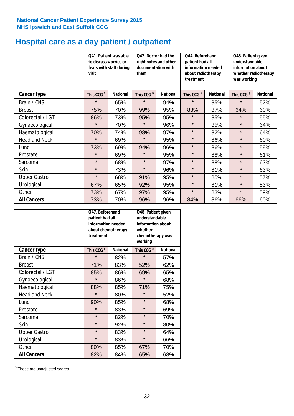# **Hospital care as a day patient / outpatient**

|                      | to discuss worries or<br>visit | Q41. Patient was able<br>fears with staff during | Q42. Doctor had the<br>right notes and other<br>documentation with<br>them |                 | Q44. Beforehand<br>patient had all<br>information needed<br>about radiotherapy<br>treatment |                 | Q45. Patient given<br>understandable<br>information about<br>whether radiotherapy<br>was working |                 |
|----------------------|--------------------------------|--------------------------------------------------|----------------------------------------------------------------------------|-----------------|---------------------------------------------------------------------------------------------|-----------------|--------------------------------------------------------------------------------------------------|-----------------|
| Cancer type          | This CCG <sup>\$</sup>         | <b>National</b>                                  | This CCG <sup>\$</sup>                                                     | <b>National</b> | This CCG <sup>\$</sup>                                                                      | <b>National</b> | This CCG <sup>\$</sup>                                                                           | <b>National</b> |
| Brain / CNS          | $\star$                        | 65%                                              | $\star$                                                                    | 94%             | $\star$                                                                                     | 85%             | $\star$                                                                                          | 52%             |
| <b>Breast</b>        | 75%                            | 70%                                              | 99%                                                                        | 95%             | 83%                                                                                         | 87%             | 64%                                                                                              | 60%             |
| Colorectal / LGT     | 86%                            | 73%                                              | 95%                                                                        | 95%             | $\star$                                                                                     | 85%             | $\star$                                                                                          | 55%             |
| Gynaecological       | $\star$                        | 70%                                              | $\star$                                                                    | 96%             | $\star$                                                                                     | 85%             | $\star$                                                                                          | 64%             |
| Haematological       | 70%                            | 74%                                              | 98%                                                                        | 97%             | $\star$                                                                                     | 82%             | $\star$                                                                                          | 64%             |
| <b>Head and Neck</b> | $\star$                        | 69%                                              | $\star$                                                                    | 95%             | $\star$                                                                                     | 86%             | $\star$                                                                                          | 60%             |
| Lung                 | 73%                            | 69%                                              | 94%                                                                        | 96%             | $\star$                                                                                     | 86%             | $\star$                                                                                          | 59%             |
| Prostate             | $\star$                        | 69%                                              | $\star$                                                                    | 95%             | $\star$                                                                                     | 88%             | $\star$                                                                                          | 61%             |
| Sarcoma              | $\star$                        | 68%                                              | $\star$                                                                    | 97%             | $\star$                                                                                     | 88%             | $\star$                                                                                          | 63%             |
| Skin                 | $\star$                        | 73%                                              | $\star$                                                                    | 96%             | $\star$                                                                                     | 81%             | $\star$                                                                                          | 63%             |
| <b>Upper Gastro</b>  | $\star$                        | 68%                                              | 91%                                                                        | 95%             | $\star$                                                                                     | 85%             | $\star$                                                                                          | 57%             |
| Urological           | 67%                            | 65%                                              | 92%                                                                        | 95%             | $\star$                                                                                     | 81%             | $\star$                                                                                          | 53%             |
| Other                | 73%                            | 67%                                              | 97%                                                                        | 95%             | $\star$                                                                                     | 83%             | $\star$                                                                                          | 59%             |
| <b>All Cancers</b>   | 73%                            | 70%                                              | 96%                                                                        | 96%             | 84%                                                                                         | 86%             | 66%                                                                                              | 60%             |

|                      | O47. Beforehand<br>patient had all<br>information needed<br>treatment | about chemotherapy | Q48. Patient given<br>understandable<br>information about<br>whether<br>chemotherapy was<br>working |                 |  |
|----------------------|-----------------------------------------------------------------------|--------------------|-----------------------------------------------------------------------------------------------------|-----------------|--|
| <b>Cancer type</b>   | This CCG <sup>\$</sup>                                                | <b>National</b>    | This CCG <sup>\$</sup>                                                                              | <b>National</b> |  |
| Brain / CNS          | $\star$                                                               | 82%                | $\star$                                                                                             | 57%             |  |
| <b>Breast</b>        | 71%                                                                   | 83%                | 52%                                                                                                 | 62%             |  |
| Colorectal / LGT     | 85%                                                                   | 86%                | 69%                                                                                                 | 65%             |  |
| Gynaecological       | $\star$                                                               | 86%                | $\star$                                                                                             | 68%             |  |
| Haematological       | 88%<br>85%                                                            |                    | 71%                                                                                                 | 75%             |  |
| <b>Head and Neck</b> | $\star$                                                               | 80%                | $\star$                                                                                             | 52%             |  |
| Lung                 | 90%                                                                   | 85%                | $\star$                                                                                             | 68%             |  |
| Prostate             | $\star$                                                               | 83%                | $\star$                                                                                             | 69%             |  |
| Sarcoma              | $\star$                                                               | 82%                | $\star$                                                                                             | 70%             |  |
| Skin                 | $\star$                                                               | 92%                | $\star$                                                                                             | 80%             |  |
| <b>Upper Gastro</b>  | $\star$                                                               | 83%                | $\star$                                                                                             | 64%             |  |
| Urological           | $\star$                                                               | 83%                | $\star$                                                                                             | 66%             |  |
| Other                | 80%                                                                   | 85%                | 67%                                                                                                 | 70%             |  |
| <b>All Cancers</b>   | 82%                                                                   | 84%                | 65%                                                                                                 | 68%             |  |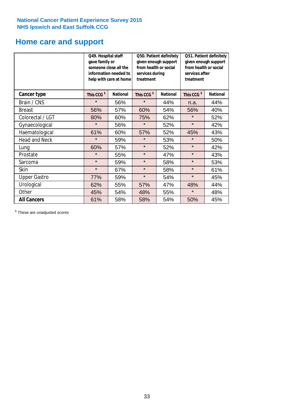# **Home care and support**

|                      |                        | Q49. Hospital staff<br>Q50. Patient definitely<br>given enough support<br>gave family or<br>from health or social<br>someone close all the<br>information needed to<br>services during<br>treatment<br>help with care at home |                        | Q51. Patient definitely<br>given enough support<br>from health or social<br>services after<br>treatment |                        |                 |
|----------------------|------------------------|-------------------------------------------------------------------------------------------------------------------------------------------------------------------------------------------------------------------------------|------------------------|---------------------------------------------------------------------------------------------------------|------------------------|-----------------|
| <b>Cancer type</b>   | This CCG <sup>\$</sup> | <b>National</b>                                                                                                                                                                                                               | This CCG <sup>\$</sup> | <b>National</b>                                                                                         | This CCG <sup>\$</sup> | <b>National</b> |
| Brain / CNS          | $\star$                | 56%                                                                                                                                                                                                                           | $\star$                | 44%                                                                                                     | n.a.                   | 44%             |
| <b>Breast</b>        | 56%                    | 57%                                                                                                                                                                                                                           | 60%                    | 54%                                                                                                     | 56%                    | 40%             |
| Colorectal / LGT     | 80%                    | 60%                                                                                                                                                                                                                           | 75%                    | 62%                                                                                                     | $\star$                | 52%             |
| Gynaecological       | $\star$                | 56%                                                                                                                                                                                                                           | $\star$                | 52%                                                                                                     | $\star$                | 42%             |
| Haematological       | 61%                    | 60%                                                                                                                                                                                                                           | 57%                    | 52%                                                                                                     | 45%                    | 43%             |
| <b>Head and Neck</b> | $\star$                | 59%                                                                                                                                                                                                                           | $\star$                | 53%                                                                                                     | $\star$                | 50%             |
| Lung                 | 60%                    | 57%                                                                                                                                                                                                                           | $\star$                | 52%                                                                                                     | $\star$                | 42%             |
| Prostate             | $\star$                | 55%                                                                                                                                                                                                                           | $\star$                | 47%                                                                                                     | $\star$                | 43%             |
| Sarcoma              | $\star$                | 59%                                                                                                                                                                                                                           | $\star$                | 58%                                                                                                     | $\star$                | 53%             |
| Skin                 | $\star$                | 67%                                                                                                                                                                                                                           | $\star$                | 58%                                                                                                     | $\star$                | 61%             |
| <b>Upper Gastro</b>  | 77%                    | 59%                                                                                                                                                                                                                           | $\star$                | 54%                                                                                                     | $\star$                | 45%             |
| Urological           | 62%                    | 55%                                                                                                                                                                                                                           | 57%                    | 47%                                                                                                     | 48%                    | 44%             |
| Other                | 45%                    | 54%                                                                                                                                                                                                                           | 48%                    | 55%                                                                                                     | $\star$                | 48%             |
| <b>All Cancers</b>   | 61%                    | 58%                                                                                                                                                                                                                           | 58%                    | 54%                                                                                                     | 50%                    | 45%             |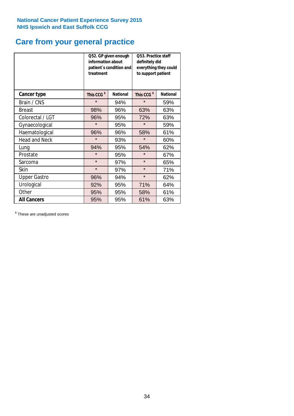# **Care from your general practice**

|                      | information about<br>treatment | Q52. GP given enough<br>patient's condition and | O53. Practice staff<br>definitely did<br>everything they could<br>to support patient |                 |  |
|----------------------|--------------------------------|-------------------------------------------------|--------------------------------------------------------------------------------------|-----------------|--|
| <b>Cancer type</b>   | This CCG <sup>\$</sup>         | <b>National</b>                                 | This CCG <sup>\$</sup>                                                               | <b>National</b> |  |
| Brain / CNS          | $\star$                        | 94%                                             | $\star$                                                                              | 59%             |  |
| <b>Breast</b>        | 98%                            | 96%                                             | 63%                                                                                  | 63%             |  |
| Colorectal / LGT     | 96%                            | 95%                                             | 72%                                                                                  | 63%             |  |
| Gynaecological       | $\star$                        | 95%                                             | $\star$                                                                              | 59%             |  |
| Haematological       | 96%                            | 96%                                             | 58%                                                                                  | 61%             |  |
| <b>Head and Neck</b> | $\star$                        | 93%                                             | $\star$                                                                              | 60%             |  |
| Lung                 | 94%                            | 95%                                             | 54%                                                                                  | 62%             |  |
| Prostate             | $\star$                        | 95%                                             | $\star$                                                                              | 67%             |  |
| Sarcoma              | $\star$                        | 97%                                             | $\star$                                                                              | 65%             |  |
| Skin                 | $\star$                        | 97%                                             | $\star$                                                                              | 71%             |  |
| <b>Upper Gastro</b>  | 96%                            | 94%                                             | $\star$                                                                              | 62%             |  |
| Urological           | 92%                            | 95%                                             | 71%                                                                                  | 64%             |  |
| Other                | 95%                            | 95%                                             | 58%                                                                                  | 61%             |  |
| <b>All Cancers</b>   | 95%                            | 95%                                             | 61%                                                                                  | 63%             |  |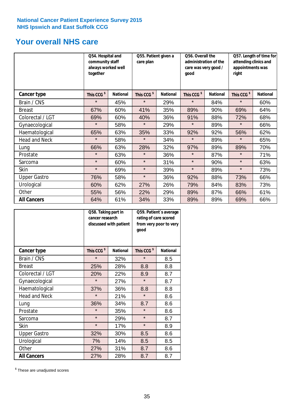# **Your overall NHS care**

|                      | Q54. Hospital and<br>community staff<br>always worked well<br>together |                 | Q55. Patient given a<br>care plan |                 | Q56. Overall the<br>administration of the<br>care was very good /<br>qood |                 | Q57. Length of time for<br>attending clinics and<br>appointments was<br>right |                 |
|----------------------|------------------------------------------------------------------------|-----------------|-----------------------------------|-----------------|---------------------------------------------------------------------------|-----------------|-------------------------------------------------------------------------------|-----------------|
| <b>Cancer type</b>   | This CCG <sup>\$</sup>                                                 | <b>National</b> | This CCG <sup>\$</sup>            | <b>National</b> | This CCG <sup>\$</sup>                                                    | <b>National</b> | This CCG <sup>\$</sup>                                                        | <b>National</b> |
| Brain / CNS          | $\star$                                                                | 45%             | $\star$                           | 29%             | $\star$                                                                   | 84%             | $\star$                                                                       | 60%             |
| <b>Breast</b>        | 67%                                                                    | 60%             | 41%                               | 35%             | 89%                                                                       | 90%             | 69%                                                                           | 64%             |
| Colorectal / LGT     | 69%                                                                    | 60%             | 40%                               | 36%             | 91%                                                                       | 88%             | 72%                                                                           | 68%             |
| Gynaecological       | $\star$                                                                | 58%             | $\star$                           | 29%             | $\star$                                                                   | 89%             | $\star$                                                                       | 66%             |
| Haematological       | 65%                                                                    | 63%             | 35%                               | 33%             | 92%                                                                       | 92%             | 56%                                                                           | 62%             |
| <b>Head and Neck</b> | $\star$                                                                | 58%             | $\star$                           | 34%             | $\star$                                                                   | 89%             | $\star$                                                                       | 65%             |
| Lung                 | 66%                                                                    | 63%             | 28%                               | 32%             | 97%                                                                       | 89%             | 89%                                                                           | 70%             |
| Prostate             | $\star$                                                                | 63%             | $\star$                           | 36%             | $\star$                                                                   | 87%             | $\star$                                                                       | 71%             |
| Sarcoma              | $\star$                                                                | 60%             | $\star$                           | 31%             | $\star$                                                                   | 90%             | $\star$                                                                       | 63%             |
| Skin                 | $\star$                                                                | 69%             | $\star$                           | 39%             | $\star$                                                                   | 89%             | $\star$                                                                       | 73%             |
| <b>Upper Gastro</b>  | 76%                                                                    | 58%             | $\star$                           | 36%             | 92%                                                                       | 88%             | 73%                                                                           | 66%             |
| Urological           | 60%                                                                    | 62%             | 27%                               | 26%             | 79%                                                                       | 84%             | 83%                                                                           | 73%             |
| Other                | 55%                                                                    | 56%             | 22%                               | 29%             | 89%                                                                       | 87%             | 66%                                                                           | 61%             |
| <b>All Cancers</b>   | 64%                                                                    | 61%             | 34%                               | 33%             | 89%                                                                       | 89%             | 69%                                                                           | 66%             |

|                      | Q58. Taking part in<br>cancer research | discussed with patient | Q59. Patient's average<br>rating of care scored<br>from very poor to very<br>good |                 |  |
|----------------------|----------------------------------------|------------------------|-----------------------------------------------------------------------------------|-----------------|--|
| <b>Cancer type</b>   | This CCG <sup>\$</sup>                 | <b>National</b>        | This CCG <sup>\$</sup>                                                            | <b>National</b> |  |
| Brain / CNS          | $\star$                                | 32%                    | $\star$                                                                           | 8.5             |  |
| <b>Breast</b>        | 25%                                    | 28%                    | 8.8                                                                               | 8.8             |  |
| Colorectal / LGT     | 20%                                    | 22%                    | 8.9                                                                               | 8.7             |  |
| Gynaecological       | $\star$                                | 27%                    | $\star$                                                                           | 8.7             |  |
| Haematological       | 37%                                    | 36%                    | 8.8                                                                               | 8.8             |  |
| <b>Head and Neck</b> | $\star$                                | 21%                    | $\star$                                                                           | 8.6             |  |
| Lung                 | 36%                                    | 34%                    | 8.7                                                                               | 8.6             |  |
| Prostate             | $\star$                                | 35%                    | $\star$                                                                           | 8.6             |  |
| Sarcoma              | $\star$                                | 29%                    | $\star$                                                                           | 8.7             |  |
| Skin                 | $\star$                                | 17%                    | $\star$                                                                           | 8.9             |  |
| <b>Upper Gastro</b>  | 32%                                    | 30%                    | 8.5                                                                               | 8.6             |  |
| Urological           | 7%                                     | 14%                    | 8.5                                                                               | 8.5             |  |
| Other                | 27%                                    | 31%                    | 8.7                                                                               | 8.6             |  |
| <b>All Cancers</b>   | 27%                                    | 28%                    | 8.7                                                                               | 8.7             |  |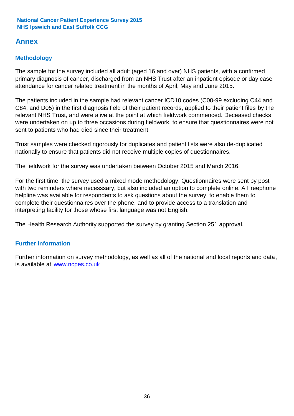# **Annex**

# **Methodology**

The sample for the survey included all adult (aged 16 and over) NHS patients, with a confirmed primary diagnosis of cancer, discharged from an NHS Trust after an inpatient episode or day case attendance for cancer related treatment in the months of April, May and June 2015.

The patients included in the sample had relevant cancer ICD10 codes (C00-99 excluding C44 and C84, and D05) in the first diagnosis field of their patient records, applied to their patient files by the relevant NHS Trust, and were alive at the point at which fieldwork commenced. Deceased checks were undertaken on up to three occasions during fieldwork, to ensure that questionnaires were not sent to patients who had died since their treatment.

Trust samples were checked rigorously for duplicates and patient lists were also de-duplicated nationally to ensure that patients did not receive multiple copies of questionnaires.

The fieldwork for the survey was undertaken between October 2015 and March 2016.

For the first time, the survey used a mixed mode methodology. Questionnaires were sent by post with two reminders where necesssary, but also included an option to complete online. A Freephone helpline was available for respondents to ask questions about the survey, to enable them to complete their questionnaires over the phone, and to provide access to a translation and interpreting facility for those whose first language was not English.

The Health Research Authority supported the survey by granting Section 251 approval.

## **Further information**

Further information on survey methodology, as well as all of the national and local reports and data, is available at www.ncpes.co.uk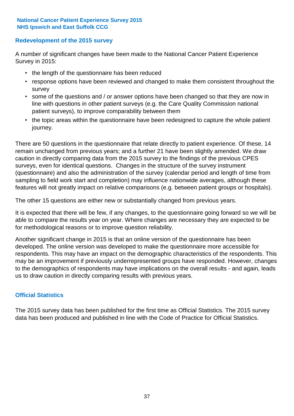### **Redevelopment of the 2015 survey**

A number of significant changes have been made to the National Cancer Patient Experience Survey in 2015:

- the length of the questionnaire has been reduced
- response options have been reviewed and changed to make them consistent throughout the survey
- some of the questions and / or answer options have been changed so that they are now in line with questions in other patient surveys (e.g. the Care Quality Commission national patient surveys), to improve comparability between them
- the topic areas within the questionnaire have been redesigned to capture the whole patient journey.

There are 50 questions in the questionnaire that relate directly to patient experience. Of these, 14 remain unchanged from previous years; and a further 21 have been slightly amended. We draw caution in directly comparing data from the 2015 survey to the findings of the previous CPES surveys, even for identical questions. Changes in the structure of the survey instrument (questionnaire) and also the administration of the survey (calendar period and length of time from sampling to field work start and completion) may influence nationwide averages, although these features will not greatly impact on relative comparisons (e.g. between patient groups or hospitals).

The other 15 questions are either new or substantially changed from previous years.

It is expected that there will be few, if any changes, to the questionnaire going forward so we will be able to compare the results year on year. Where changes are necessary they are expected to be for methodological reasons or to improve question reliability.

Another significant change in 2015 is that an online version of the questionnaire has been developed. The online version was developed to make the questionnaire more accessible for respondents. This may have an impact on the demographic characteristics of the respondents. This may be an improvement if previously underrepresented groups have responded. However, changes to the demographics of respondents may have implications on the overall results - and again, leads us to draw caution in directly comparing results with previous years.

### **Official Statistics**

The 2015 survey data has been published for the first time as Official Statistics. The 2015 survey data has been produced and published in line with the Code of Practice for Official Statistics.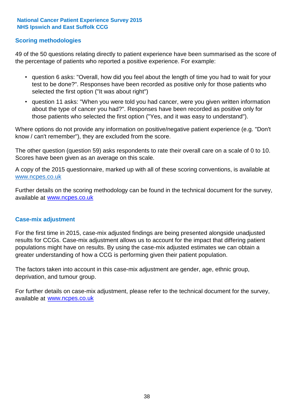### **Scoring methodologies**

49 of the 50 questions relating directly to patient experience have been summarised as the score of the percentage of patients who reported a positive experience. For example:

- question 6 asks: "Overall, how did you feel about the length of time you had to wait for your test to be done?". Responses have been recorded as positive only for those patients who selected the first option ("It was about right")
- question 11 asks: "When you were told you had cancer, were you given written information about the type of cancer you had?". Responses have been recorded as positive only for those patients who selected the first option ("Yes, and it was easy to understand").

Where options do not provide any information on positive/negative patient experience (e.g. "Don't know / can't remember"), they are excluded from the score.

The other question (question 59) asks respondents to rate their overall care on a scale of 0 to 10. Scores have been given as an average on this scale.

A copy of the 2015 questionnaire, marked up with all of these scoring conventions, is available at www.ncpes.co.uk

Further details on the scoring methodology can be found in the technical document for the survey, available at <u>www.ncpes.co.uk</u>

#### **Case-mix adjustment**

For the first time in 2015, case-mix adjusted findings are being presented alongside unadjusted results for CCGs. Case-mix adjustment allows us to account for the impact that differing patient populations might have on results. By using the case-mix adjusted estimates we can obtain a greater understanding of how a CCG is performing given their patient population.

The factors taken into account in this case-mix adjustment are gender, age, ethnic group, deprivation, and tumour group.

For further details on case-mix adjustment, please refer to the technical document for the survey, available at www.ncpes.co.uk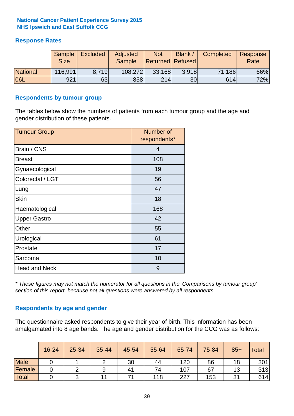### **Response Rates**

|                 | Sample<br><b>Size</b> | <b>Excluded</b> | Adjusted<br><b>Sample</b> | <b>Not</b><br><b>Returned Refused</b> | Blank /         | Completed | Response<br>Rate |
|-----------------|-----------------------|-----------------|---------------------------|---------------------------------------|-----------------|-----------|------------------|
| <b>National</b> | 116,991               | 8.719           | 108,272                   | 33,168                                | 3.918           | 71,186    | 66%              |
| <b>06L</b>      | 921                   | 63              | 858                       | 214                                   | 30 <sub>l</sub> | 614       | 72%              |

#### **Respondents by tumour group**

The tables below show the numbers of patients from each tumour group and the age and gender distribution of these patients.

| <b>Tumour Group</b>  | Number of<br>respondents* |
|----------------------|---------------------------|
| Brain / CNS          | 4                         |
| <b>Breast</b>        | 108                       |
| Gynaecological       | 19                        |
| Colorectal / LGT     | 56                        |
| Lung                 | 47                        |
| <b>Skin</b>          | 18                        |
| Haematological       | 168                       |
| <b>Upper Gastro</b>  | 42                        |
| Other                | 55                        |
| Urological           | 61                        |
| Prostate             | 17                        |
| Sarcoma              | 10                        |
| <b>Head and Neck</b> | 9                         |

*\* These figures may not match the numerator for all questions in the 'Comparisons by tumour group' section of this report, because not all questions were answered by all respondents.*

### **Respondents by age and gender**

The questionnaire asked respondents to give their year of birth. This information has been amalgamated into 8 age bands. The age and gender distribution for the CCG was as follows:

|             | 16-24 | 25-34 | 35-44 | 45-54 | 55-64 | 65-74 | 75-84 | $85+$ | Total |
|-------------|-------|-------|-------|-------|-------|-------|-------|-------|-------|
| <b>Male</b> |       |       | ⌒     | 30    | 44    | 120   | 86    | 18    | 301   |
| Female      |       |       | 9     | 41    | 74    | 107   | 67    | 13    | 313   |
| Total       |       |       |       |       | 118   | 227   | 153   | 31    | 614   |